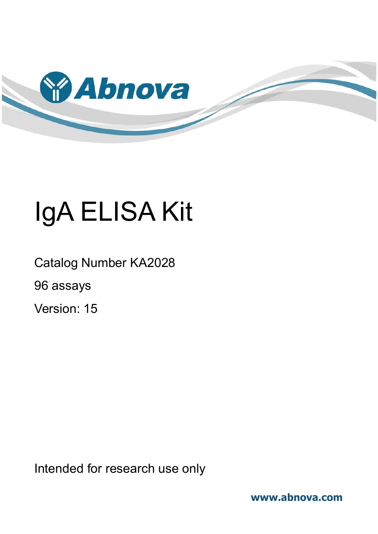

# IgA ELISA Kit

Catalog Number KA2028 96 assays Version: 15

Intended for research use only

**www.abnova.com**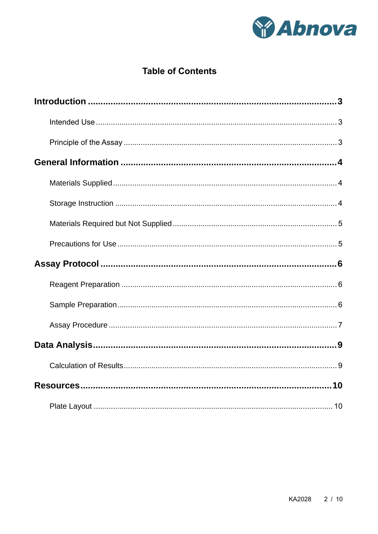

## **Table of Contents**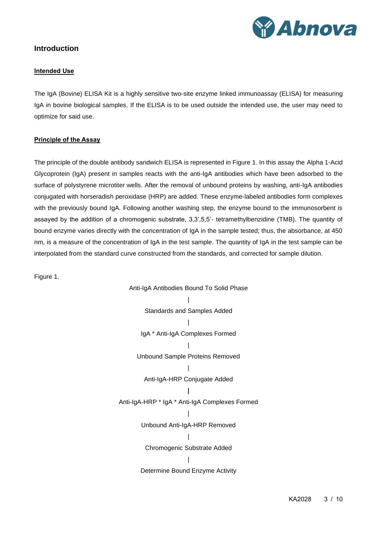

## <span id="page-2-1"></span><span id="page-2-0"></span>**Introduction**

#### **Intended Use**

The IgA (Bovine) ELISA Kit is a highly sensitive two-site enzyme linked immunoassay (ELISA) for measuring IgA in bovine biological samples. If the ELISA is to be used outside the intended use, the user may need to optimize for said use.

#### <span id="page-2-2"></span>**Principle of the Assay**

The principle of the double antibody sandwich ELISA is represented in Figure 1. In this assay the Alpha 1-Acid Glycoprotein (IgA) present in samples reacts with the anti-IgA antibodies which have been adsorbed to the surface of polystyrene microtiter wells. After the removal of unbound proteins by washing, anti-IgA antibodies conjugated with horseradish peroxidase (HRP) are added. These enzyme-labeled antibodies form complexes with the previously bound IgA. Following another washing step, the enzyme bound to the immunosorbent is assayed by the addition of a chromogenic substrate, 3,3',5,5'- tetramethylbenzidine (TMB). The quantity of bound enzyme varies directly with the concentration of IgA in the sample tested; thus, the absorbance, at 450 nm, is a measure of the concentration of IgA in the test sample. The quantity of IgA in the test sample can be interpolated from the standard curve constructed from the standards, and corrected for sample dilution.

Figure 1.

Anti-IgA Antibodies Bound To Solid Phase | Standards and Samples Added | IgA \* Anti-IgA Complexes Formed | Unbound Sample Proteins Removed | Anti-IgA-HRP Conjugate Added **|** Anti-IgA-HRP \* IgA \* Anti-IgA Complexes Formed | Unbound Anti-IgA-HRP Removed | Chromogenic Substrate Added | Determine Bound Enzyme Activity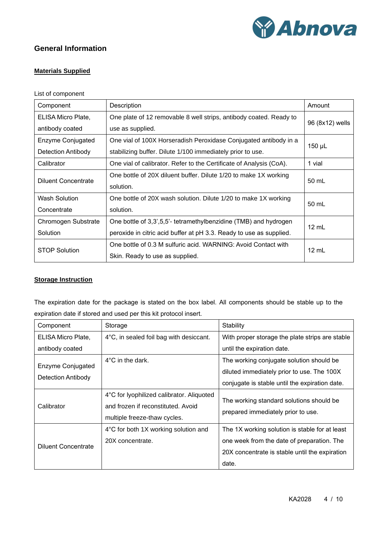

## <span id="page-3-1"></span><span id="page-3-0"></span>**General Information**

#### **Materials Supplied**

#### List of component

| Component                  | Description                                                         | Amount          |  |  |
|----------------------------|---------------------------------------------------------------------|-----------------|--|--|
| ELISA Micro Plate,         | One plate of 12 removable 8 well strips, antibody coated. Ready to  |                 |  |  |
| antibody coated            | use as supplied.                                                    | 96 (8x12) wells |  |  |
| Enzyme Conjugated          | One vial of 100X Horseradish Peroxidase Conjugated antibody in a    |                 |  |  |
| <b>Detection Antibody</b>  | stabilizing buffer. Dilute 1/100 immediately prior to use.          | 150 µL          |  |  |
| Calibrator                 | One vial of calibrator. Refer to the Certificate of Analysis (CoA). | 1 vial          |  |  |
| <b>Diluent Concentrate</b> | One bottle of 20X diluent buffer. Dilute 1/20 to make 1X working    | 50 mL           |  |  |
|                            | solution.                                                           |                 |  |  |
| <b>Wash Solution</b>       | One bottle of 20X wash solution. Dilute 1/20 to make 1X working     |                 |  |  |
| Concentrate                | solution.                                                           | 50 mL           |  |  |
| Chromogen Substrate        | One bottle of 3,3',5,5'- tetramethylbenzidine (TMB) and hydrogen    |                 |  |  |
| Solution                   | peroxide in citric acid buffer at pH 3.3. Ready to use as supplied. | $12 \text{ mL}$ |  |  |
|                            | One bottle of 0.3 M sulfuric acid. WARNING: Avoid Contact with      |                 |  |  |
| <b>STOP Solution</b>       | Skin. Ready to use as supplied.                                     | 12 mL           |  |  |

#### <span id="page-3-2"></span>**Storage Instruction**

The expiration date for the package is stated on the box label. All components should be stable up to the expiration date if stored and used per this kit protocol insert.

| Component                  | Storage                                           | Stability                                       |  |  |
|----------------------------|---------------------------------------------------|-------------------------------------------------|--|--|
| ELISA Micro Plate,         | $4^{\circ}$ C, in sealed foil bag with desiccant. | With proper storage the plate strips are stable |  |  |
| antibody coated            |                                                   | until the expiration date.                      |  |  |
|                            | $4^{\circ}$ C in the dark.                        | The working conjugate solution should be        |  |  |
| Enzyme Conjugated          |                                                   | diluted immediately prior to use. The 100X      |  |  |
| Detection Antibody         |                                                   | conjugate is stable until the expiration date.  |  |  |
|                            | 4°C for lyophilized calibrator. Aliquoted         |                                                 |  |  |
| Calibrator                 | and frozen if reconstituted. Avoid                | The working standard solutions should be        |  |  |
|                            | multiple freeze-thaw cycles.                      | prepared immediately prior to use.              |  |  |
|                            | 4°C for both 1X working solution and              | The 1X working solution is stable for at least  |  |  |
| <b>Diluent Concentrate</b> | 20X concentrate.                                  | one week from the date of preparation. The      |  |  |
|                            |                                                   | 20X concentrate is stable until the expiration  |  |  |
|                            |                                                   | date.                                           |  |  |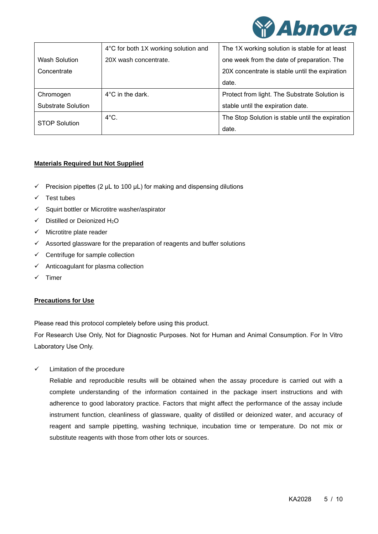

|                           | 4°C for both 1X working solution and | The 1X working solution is stable for at least   |
|---------------------------|--------------------------------------|--------------------------------------------------|
| Wash Solution             | 20X wash concentrate.                | one week from the date of preparation. The       |
| Concentrate               |                                      | 20X concentrate is stable until the expiration   |
|                           |                                      | date.                                            |
| Chromogen                 | $4^{\circ}$ C in the dark.           | Protect from light. The Substrate Solution is    |
| <b>Substrate Solution</b> |                                      | stable until the expiration date.                |
| <b>STOP Solution</b>      | $4^{\circ}$ C.                       | The Stop Solution is stable until the expiration |
|                           |                                      | date.                                            |

#### <span id="page-4-0"></span>**Materials Required but Not Supplied**

- $\checkmark$  Precision pipettes (2 µL to 100 µL) for making and dispensing dilutions
- ✓ Test tubes
- ✓ Squirt bottler or Microtitre washer/aspirator
- ✓ Distilled or Deionized H2O
- $\checkmark$  Microtitre plate reader
- $\checkmark$  Assorted glassware for the preparation of reagents and buffer solutions
- $\checkmark$  Centrifuge for sample collection
- $\checkmark$  Anticoagulant for plasma collection
- <span id="page-4-1"></span>✓ Timer

#### **Precautions for Use**

Please read this protocol completely before using this product.

For Research Use Only, Not for Diagnostic Purposes. Not for Human and Animal Consumption. For In Vitro Laboratory Use Only.

✓ Limitation of the procedure

Reliable and reproducible results will be obtained when the assay procedure is carried out with a complete understanding of the information contained in the package insert instructions and with adherence to good laboratory practice. Factors that might affect the performance of the assay include instrument function, cleanliness of glassware, quality of distilled or deionized water, and accuracy of reagent and sample pipetting, washing technique, incubation time or temperature. Do not mix or substitute reagents with those from other lots or sources.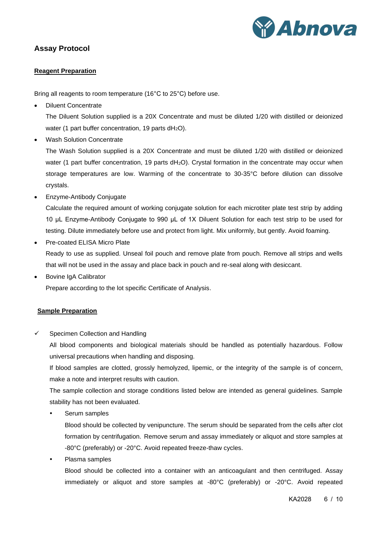

## <span id="page-5-1"></span><span id="page-5-0"></span>**Assay Protocol**

#### **Reagent Preparation**

Bring all reagents to room temperature (16°C to 25°C) before use.

• Diluent Concentrate

The Diluent Solution supplied is a 20X Concentrate and must be diluted 1/20 with distilled or deionized water (1 part buffer concentration, 19 parts  $dH_2O$ ).

• Wash Solution Concentrate

The Wash Solution supplied is a 20X Concentrate and must be diluted 1/20 with distilled or deionized water (1 part buffer concentration, 19 parts dH<sub>2</sub>O). Crystal formation in the concentrate may occur when storage temperatures are low. Warming of the concentrate to 30-35°C before dilution can dissolve crystals.

• Enzyme-Antibody Conjugate

Calculate the required amount of working conjugate solution for each microtiter plate test strip by adding 10 μL Enzyme-Antibody Conjugate to 990 μL of 1X Diluent Solution for each test strip to be used for testing. Dilute immediately before use and protect from light. Mix uniformly, but gently. Avoid foaming.

- Pre-coated ELISA Micro Plate Ready to use as supplied. Unseal foil pouch and remove plate from pouch. Remove all strips and wells that will not be used in the assay and place back in pouch and re-seal along with desiccant.
- Bovine IgA Calibrator Prepare according to the lot specific Certificate of Analysis.

#### <span id="page-5-2"></span>**Sample Preparation**

 $\checkmark$  Specimen Collection and Handling

All blood components and biological materials should be handled as potentially hazardous. Follow universal precautions when handling and disposing.

If blood samples are clotted, grossly hemolyzed, lipemic, or the integrity of the sample is of concern, make a note and interpret results with caution.

The sample collection and storage conditions listed below are intended as general guidelines. Sample stability has not been evaluated.

Serum samples

Blood should be collected by venipuncture. The serum should be separated from the cells after clot formation by centrifugation. Remove serum and assay immediately or aliquot and store samples at -80°C (preferably) or -20°C. Avoid repeated freeze-thaw cycles.

Plasma samples

Blood should be collected into a container with an anticoagulant and then centrifuged. Assay immediately or aliquot and store samples at -80°C (preferably) or -20°C. Avoid repeated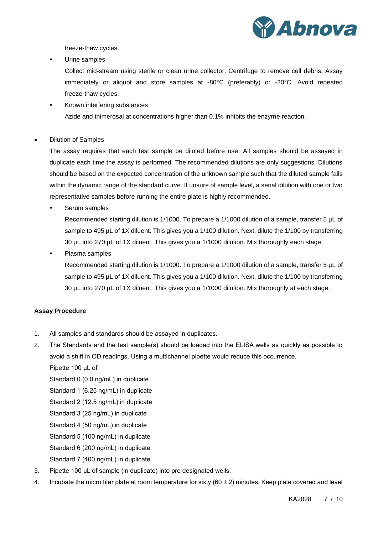

freeze-thaw cycles.

Urine samples

Collect mid-stream using sterile or clean urine collector. Centrifuge to remove cell debris. Assay immediately or aliquot and store samples at -80°C (preferably) or -20°C. Avoid repeated freeze-thaw cycles.

- Known interfering substances Azide and thimerosal at concentrations higher than 0.1% inhibits the enzyme reaction.
- Dilution of Samples

The assay requires that each test sample be diluted before use. All samples should be assayed in duplicate each time the assay is performed. The recommended dilutions are only suggestions. Dilutions should be based on the expected concentration of the unknown sample such that the diluted sample falls within the dynamic range of the standard curve. If unsure of sample level, a serial dilution with one or two representative samples before running the entire plate is highly recommended.

Serum samples

Recommended starting dilution is 1/1000. To prepare a 1/1000 dilution of a sample, transfer 5 µL of sample to 495 µL of 1X diluent. This gives you a 1/100 dilution. Next, dilute the 1/100 by transferring 30 µL into 270 µL of 1X diluent. This gives you a 1/1000 dilution. Mix thoroughly each stage.

• Plasma samples

Recommended starting dilution is 1/1000. To prepare a 1/1000 dilution of a sample, transfer 5 µL of sample to 495 µL of 1X diluent. This gives you a 1/100 dilution. Next, dilute the 1/100 by transferring 30 µL into 270 µL of 1X diluent. This gives you a 1/1000 dilution. Mix thoroughly at each stage.

#### <span id="page-6-0"></span>**Assay Procedure**

- 1. All samples and standards should be assayed in duplicates.
- 2. The Standards and the test sample(s) should be loaded into the ELISA wells as quickly as possible to avoid a shift in OD readings. Using a multichannel pipette would reduce this occurrence.

Pipette 100 μL of

Standard 0 (0.0 ng/mL) in duplicate

Standard 1 (6.25 ng/mL) in duplicate

- Standard 2 (12.5 ng/mL) in duplicate
- Standard 3 (25 ng/mL) in duplicate
- Standard 4 (50 ng/mL) in duplicate
- Standard 5 (100 ng/mL) in duplicate

Standard 6 (200 ng/mL) in duplicate

Standard 7 (400 ng/mL) in duplicate

- 3. Pipette 100 μL of sample (in duplicate) into pre designated wells.
- 4. Incubate the micro titer plate at room temperature for sixty (60 ± 2) minutes. Keep plate covered and level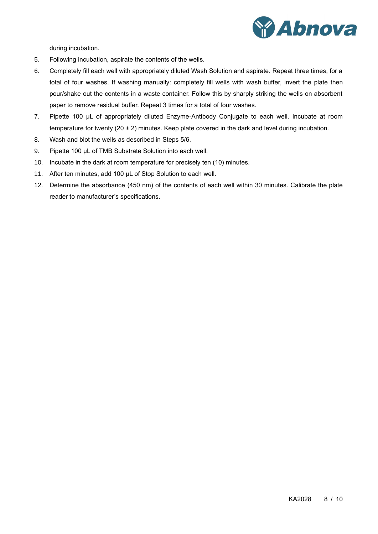

during incubation.

- 5. Following incubation, aspirate the contents of the wells.
- 6. Completely fill each well with appropriately diluted Wash Solution and aspirate. Repeat three times, for a total of four washes. If washing manually: completely fill wells with wash buffer, invert the plate then pour/shake out the contents in a waste container. Follow this by sharply striking the wells on absorbent paper to remove residual buffer. Repeat 3 times for a total of four washes.
- 7. Pipette 100 μL of appropriately diluted Enzyme-Antibody Conjugate to each well. Incubate at room temperature for twenty (20 ± 2) minutes. Keep plate covered in the dark and level during incubation.
- 8. Wash and blot the wells as described in Steps 5/6.
- 9. Pipette 100 μL of TMB Substrate Solution into each well.
- 10. Incubate in the dark at room temperature for precisely ten (10) minutes.
- 11. After ten minutes, add 100 μL of Stop Solution to each well.
- 12. Determine the absorbance (450 nm) of the contents of each well within 30 minutes. Calibrate the plate reader to manufacturer's specifications.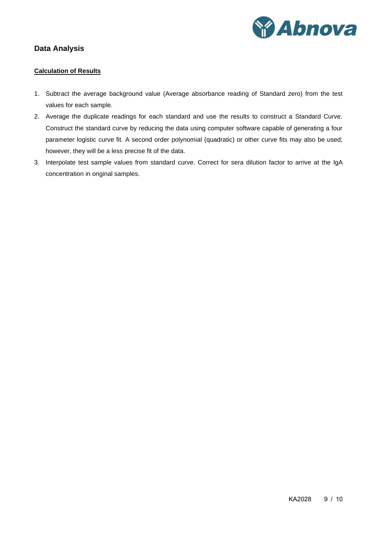

## <span id="page-8-1"></span><span id="page-8-0"></span>**Data Analysis**

#### **Calculation of Results**

- 1. Subtract the average background value (Average absorbance reading of Standard zero) from the test values for each sample.
- 2. Average the duplicate readings for each standard and use the results to construct a Standard Curve. Construct the standard curve by reducing the data using computer software capable of generating a four parameter logistic curve fit. A second order polynomial (quadratic) or other curve fits may also be used; however, they will be a less precise fit of the data.
- 3. Interpolate test sample values from standard curve. Correct for sera dilution factor to arrive at the IgA concentration in original samples.